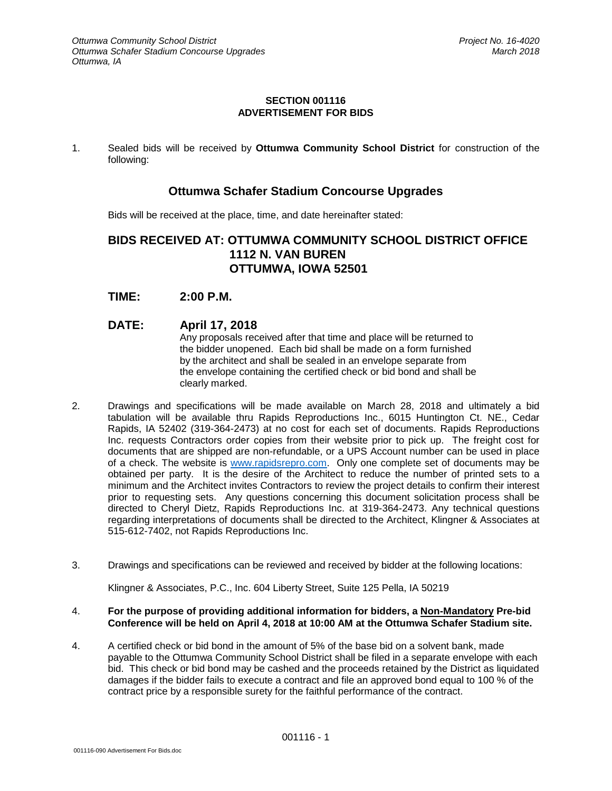## **SECTION 001116 ADVERTISEMENT FOR BIDS**

1. Sealed bids will be received by **Ottumwa Community School District** for construction of the following:

## **Ottumwa Schafer Stadium Concourse Upgrades**

Bids will be received at the place, time, and date hereinafter stated:

## **BIDS RECEIVED AT: OTTUMWA COMMUNITY SCHOOL DISTRICT OFFICE 1112 N. VAN BUREN OTTUMWA, IOWA 52501**

- **TIME: 2:00 P.M.**
- **DATE: April 17, 2018** Any proposals received after that time and place will be returned to the bidder unopened. Each bid shall be made on a form furnished by the architect and shall be sealed in an envelope separate from the envelope containing the certified check or bid bond and shall be clearly marked.
- 2. Drawings and specifications will be made available on March 28, 2018 and ultimately a bid tabulation will be available thru Rapids Reproductions Inc., 6015 Huntington Ct. NE., Cedar Rapids, IA 52402 (319-364-2473) at no cost for each set of documents. Rapids Reproductions Inc. requests Contractors order copies from their website prior to pick up. The freight cost for documents that are shipped are non-refundable, or a UPS Account number can be used in place of a check. The website is [www.rapidsrepro.com.](http://www.rapidsrepro.com/) Only one complete set of documents may be obtained per party. It is the desire of the Architect to reduce the number of printed sets to a minimum and the Architect invites Contractors to review the project details to confirm their interest prior to requesting sets. Any questions concerning this document solicitation process shall be directed to Cheryl Dietz, Rapids Reproductions Inc. at 319-364-2473. Any technical questions regarding interpretations of documents shall be directed to the Architect, Klingner & Associates at 515-612-7402, not Rapids Reproductions Inc.
- 3. Drawings and specifications can be reviewed and received by bidder at the following locations:

Klingner & Associates, P.C., Inc. 604 Liberty Street, Suite 125 Pella, IA 50219

## 4. **For the purpose of providing additional information for bidders, a Non-Mandatory Pre-bid Conference will be held on April 4, 2018 at 10:00 AM at the Ottumwa Schafer Stadium site.**

4. A certified check or bid bond in the amount of 5% of the base bid on a solvent bank, made payable to the Ottumwa Community School District shall be filed in a separate envelope with each bid. This check or bid bond may be cashed and the proceeds retained by the District as liquidated damages if the bidder fails to execute a contract and file an approved bond equal to 100 % of the contract price by a responsible surety for the faithful performance of the contract.